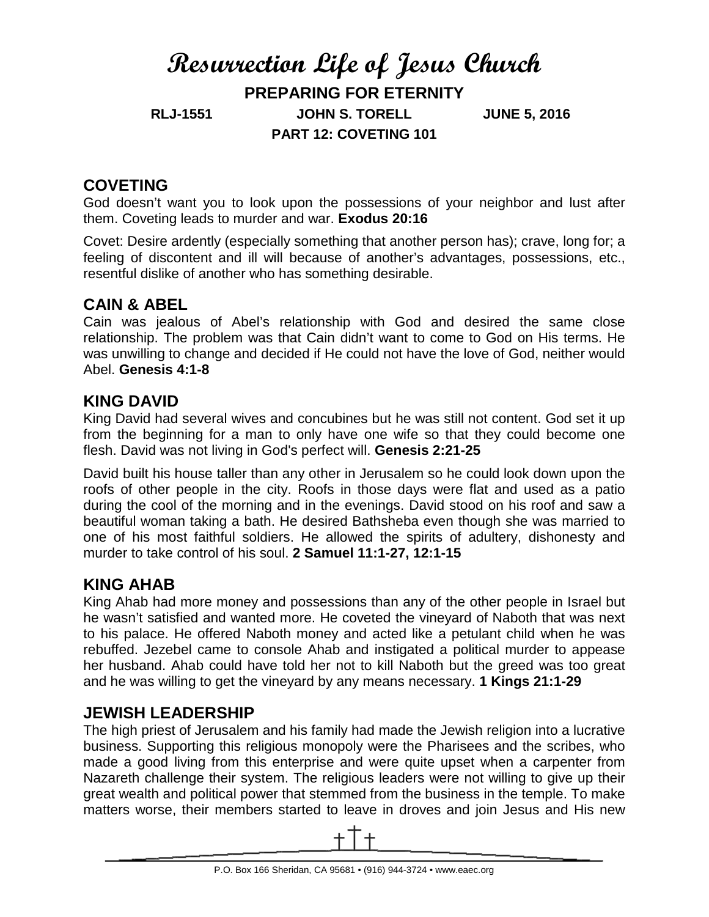# **Resurrection Life of Jesus Church PREPARING FOR ETERNITY RLJ-1551 JOHN S. TORELL JUNE 5, 2016 PART 12: COVETING 101**

## **COVETING**

God doesn't want you to look upon the possessions of your neighbor and lust after them. Coveting leads to murder and war. **Exodus 20:16**

Covet: Desire ardently (especially something that another person has); crave, long for; a feeling of discontent and ill will because of another's advantages, possessions, etc., resentful dislike of another who has something desirable.

## **CAIN & ABEL**

Cain was jealous of Abel's relationship with God and desired the same close relationship. The problem was that Cain didn't want to come to God on His terms. He was unwilling to change and decided if He could not have the love of God, neither would Abel. **Genesis 4:1-8**

#### **KING DAVID**

King David had several wives and concubines but he was still not content. God set it up from the beginning for a man to only have one wife so that they could become one flesh. David was not living in God's perfect will. **Genesis 2:21-25**

David built his house taller than any other in Jerusalem so he could look down upon the roofs of other people in the city. Roofs in those days were flat and used as a patio during the cool of the morning and in the evenings. David stood on his roof and saw a beautiful woman taking a bath. He desired Bathsheba even though she was married to one of his most faithful soldiers. He allowed the spirits of adultery, dishonesty and murder to take control of his soul. **2 Samuel 11:1-27, 12:1-15**

## **KING AHAB**

King Ahab had more money and possessions than any of the other people in Israel but he wasn't satisfied and wanted more. He coveted the vineyard of Naboth that was next to his palace. He offered Naboth money and acted like a petulant child when he was rebuffed. Jezebel came to console Ahab and instigated a political murder to appease her husband. Ahab could have told her not to kill Naboth but the greed was too great and he was willing to get the vineyard by any means necessary. **1 Kings 21:1-29**

## **JEWISH LEADERSHIP**

The high priest of Jerusalem and his family had made the Jewish religion into a lucrative business. Supporting this religious monopoly were the Pharisees and the scribes, who made a good living from this enterprise and were quite upset when a carpenter from Nazareth challenge their system. The religious leaders were not willing to give up their great wealth and political power that stemmed from the business in the temple. To make matters worse, their members started to leave in droves and join Jesus and His new